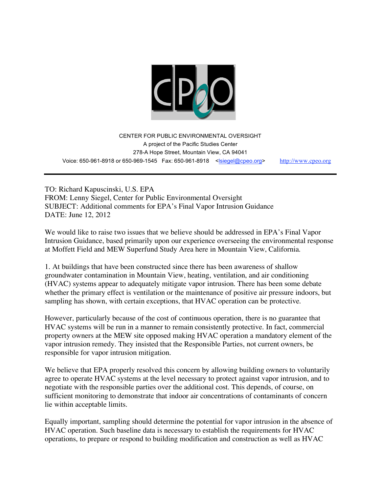

CENTER FOR PUBLIC ENVIRONMENTAL OVERSIGHT A project of the Pacific Studies Center 278-A Hope Street, Mountain View, CA 94041 Voice: 650-961-8918 or 650-969-1545 Fax: 650-961-8918 <lsiegel@cpeo.org> http://www.cpeo.org

TO: Richard Kapuscinski, U.S. EPA FROM: Lenny Siegel, Center for Public Environmental Oversight SUBJECT: Additional comments for EPA's Final Vapor Intrusion Guidance DATE: June 12, 2012

We would like to raise two issues that we believe should be addressed in EPA's Final Vapor Intrusion Guidance, based primarily upon our experience overseeing the environmental response at Moffett Field and MEW Superfund Study Area here in Mountain View, California.

1. At buildings that have been constructed since there has been awareness of shallow groundwater contamination in Mountain View, heating, ventilation, and air conditioning (HVAC) systems appear to adequately mitigate vapor intrusion. There has been some debate whether the primary effect is ventilation or the maintenance of positive air pressure indoors, but sampling has shown, with certain exceptions, that HVAC operation can be protective.

However, particularly because of the cost of continuous operation, there is no guarantee that HVAC systems will be run in a manner to remain consistently protective. In fact, commercial property owners at the MEW site opposed making HVAC operation a mandatory element of the vapor intrusion remedy. They insisted that the Responsible Parties, not current owners, be responsible for vapor intrusion mitigation.

We believe that EPA properly resolved this concern by allowing building owners to voluntarily agree to operate HVAC systems at the level necessary to protect against vapor intrusion, and to negotiate with the responsible parties over the additional cost. This depends, of course, on sufficient monitoring to demonstrate that indoor air concentrations of contaminants of concern lie within acceptable limits.

Equally important, sampling should determine the potential for vapor intrusion in the absence of HVAC operation. Such baseline data is necessary to establish the requirements for HVAC operations, to prepare or respond to building modification and construction as well as HVAC